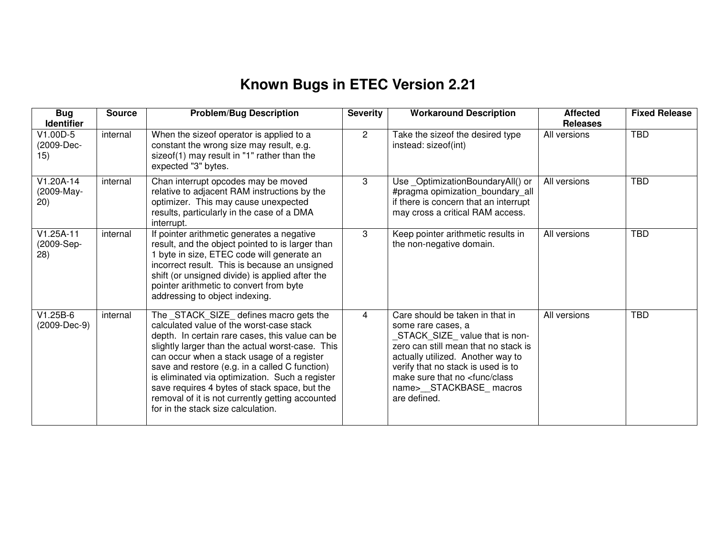## **Known Bugs in ETEC Version 2.21**

| <b>Bug</b><br><b>Identifier</b>   | <b>Source</b> | <b>Problem/Bug Description</b>                                                                                                                                                                                                                                                                                                                                                                                                                                                           | <b>Severity</b> | <b>Workaround Description</b>                                                                                                                                                                                                                                                                       | <b>Affected</b><br><b>Releases</b> | <b>Fixed Release</b> |
|-----------------------------------|---------------|------------------------------------------------------------------------------------------------------------------------------------------------------------------------------------------------------------------------------------------------------------------------------------------------------------------------------------------------------------------------------------------------------------------------------------------------------------------------------------------|-----------------|-----------------------------------------------------------------------------------------------------------------------------------------------------------------------------------------------------------------------------------------------------------------------------------------------------|------------------------------------|----------------------|
| V1.00D-5<br>(2009-Dec-<br>15)     | internal      | When the sizeof operator is applied to a<br>constant the wrong size may result, e.g.<br>sizeof(1) may result in "1" rather than the<br>expected "3" bytes.                                                                                                                                                                                                                                                                                                                               | $\overline{2}$  | Take the sizeof the desired type<br>instead: sizeof(int)                                                                                                                                                                                                                                            | All versions                       | <b>TBD</b>           |
| $V1.20A-14$<br>(2009-May-<br>20)  | internal      | Chan interrupt opcodes may be moved<br>relative to adjacent RAM instructions by the<br>optimizer. This may cause unexpected<br>results, particularly in the case of a DMA<br>interrupt.                                                                                                                                                                                                                                                                                                  | 3               | Use_OptimizationBoundaryAll() or<br>#pragma opimization_boundary_all<br>if there is concern that an interrupt<br>may cross a critical RAM access.                                                                                                                                                   | All versions                       | <b>TBD</b>           |
| $V1.25A-11$<br>(2009-Sep-<br>(28) | internal      | If pointer arithmetic generates a negative<br>result, and the object pointed to is larger than<br>1 byte in size, ETEC code will generate an<br>incorrect result. This is because an unsigned<br>shift (or unsigned divide) is applied after the<br>pointer arithmetic to convert from byte<br>addressing to object indexing.                                                                                                                                                            | 3               | Keep pointer arithmetic results in<br>the non-negative domain.                                                                                                                                                                                                                                      | All versions                       | <b>TBD</b>           |
| $V1.25B-6$<br>(2009-Dec-9)        | internal      | The _STACK_SIZE_ defines macro gets the<br>calculated value of the worst-case stack<br>depth. In certain rare cases, this value can be<br>slightly larger than the actual worst-case. This<br>can occur when a stack usage of a register<br>save and restore (e.g. in a called C function)<br>is eliminated via optimization. Such a register<br>save requires 4 bytes of stack space, but the<br>removal of it is not currently getting accounted<br>for in the stack size calculation. | 4               | Care should be taken in that in<br>some rare cases, a<br>STACK_SIZE_value that is non-<br>zero can still mean that no stack is<br>actually utilized. Another way to<br>verify that no stack is used is to<br>make sure that no <func class<br="">name&gt;__STACKBASE_macros<br/>are defined.</func> | All versions                       | <b>TBD</b>           |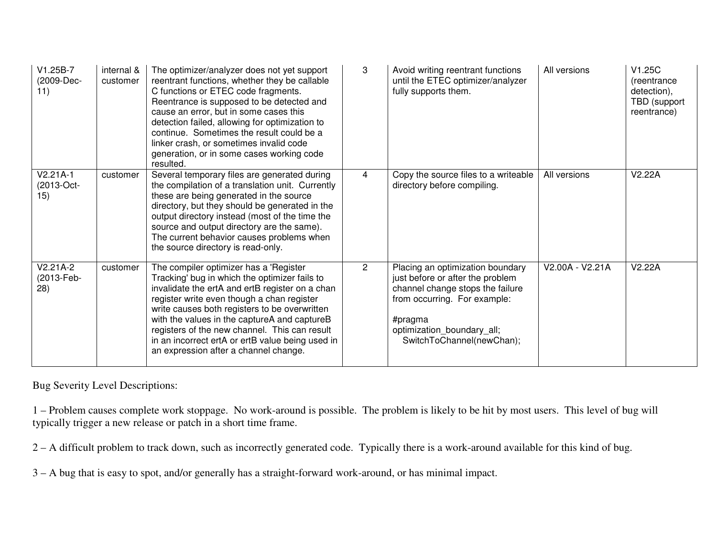| $V1.25B-7$<br>(2009-Dec-<br>11) | internal &<br>customer | The optimizer/analyzer does not yet support<br>reentrant functions, whether they be callable<br>C functions or ETEC code fragments.<br>Reentrance is supposed to be detected and<br>cause an error, but in some cases this<br>detection failed, allowing for optimization to<br>continue. Sometimes the result could be a<br>linker crash, or sometimes invalid code<br>generation, or in some cases working code<br>resulted.          | 3              | Avoid writing reentrant functions<br>until the ETEC optimizer/analyzer<br>fully supports them.                                                                                                                 | All versions    | V1.25C<br>(reentrance)<br>detection),<br>TBD (support<br>reentrance) |
|---------------------------------|------------------------|-----------------------------------------------------------------------------------------------------------------------------------------------------------------------------------------------------------------------------------------------------------------------------------------------------------------------------------------------------------------------------------------------------------------------------------------|----------------|----------------------------------------------------------------------------------------------------------------------------------------------------------------------------------------------------------------|-----------------|----------------------------------------------------------------------|
| $V2.21A-1$<br>(2013-Oct-<br>15) | customer               | Several temporary files are generated during<br>the compilation of a translation unit. Currently<br>these are being generated in the source<br>directory, but they should be generated in the<br>output directory instead (most of the time the<br>source and output directory are the same).<br>The current behavior causes problems when<br>the source directory is read-only.                                                        | 4              | Copy the source files to a writeable<br>directory before compiling.                                                                                                                                            | All versions    | V2.22A                                                               |
| V2.21A-2<br>(2013-Feb-<br>(28)  | customer               | The compiler optimizer has a 'Register<br>Tracking' bug in which the optimizer fails to<br>invalidate the ertA and ertB register on a chan<br>register write even though a chan register<br>write causes both registers to be overwritten<br>with the values in the captureA and captureB<br>registers of the new channel. This can result<br>in an incorrect ertA or ertB value being used in<br>an expression after a channel change. | $\overline{2}$ | Placing an optimization boundary<br>just before or after the problem<br>channel change stops the failure<br>from occurring. For example:<br>#pragma<br>optimization_boundary_all;<br>SwitchToChannel(newChan); | V2.00A - V2.21A | V2.22A                                                               |

Bug Severity Level Descriptions:

1 – Problem causes complete work stoppage. No work-around is possible. The problem is likely to be hit by most users. This level of bug will typically trigger a new release or patch in a short time frame.

2 – A difficult problem to track down, such as incorrectly generated code. Typically there is a work-around available for this kind of bug.

3 – A bug that is easy to spot, and/or generally has a straight-forward work-around, or has minimal impact.